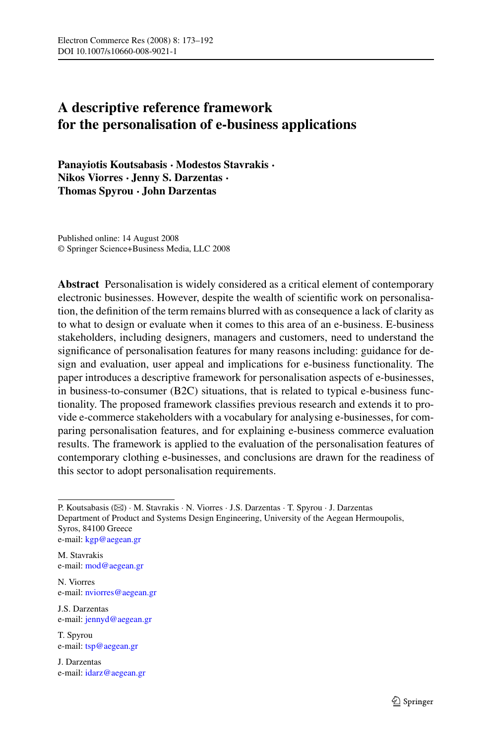# **A descriptive reference framework for the personalisation of e-business applications**

**Panayiotis Koutsabasis · Modestos Stavrakis · Nikos Viorres · Jenny S. Darzentas · Thomas Spyrou · John Darzentas**

Published online: 14 August 2008 © Springer Science+Business Media, LLC 2008

**Abstract** Personalisation is widely considered as a critical element of contemporary electronic businesses. However, despite the wealth of scientific work on personalisation, the definition of the term remains blurred with as consequence a lack of clarity as to what to design or evaluate when it comes to this area of an e-business. E-business stakeholders, including designers, managers and customers, need to understand the significance of personalisation features for many reasons including: guidance for design and evaluation, user appeal and implications for e-business functionality. The paper introduces a descriptive framework for personalisation aspects of e-businesses, in business-to-consumer (B2C) situations, that is related to typical e-business functionality. The proposed framework classifies previous research and extends it to provide e-commerce stakeholders with a vocabulary for analysing e-businesses, for comparing personalisation features, and for explaining e-business commerce evaluation results. The framework is applied to the evaluation of the personalisation features of contemporary clothing e-businesses, and conclusions are drawn for the readiness of this sector to adopt personalisation requirements.

M. Stavrakis e-mail: [mod@aegean.gr](mailto:mod@aegean.gr)

N. Viorres e-mail: [nviorres@aegean.gr](mailto:nviorres@aegean.gr)

J.S. Darzentas e-mail: [jennyd@aegean.gr](mailto:jennyd@aegean.gr)

T. Spyrou e-mail: [tsp@aegean.gr](mailto:tsp@aegean.gr)

J. Darzentas e-mail: [idarz@aegean.gr](mailto:idarz@aegean.gr)

P. Koutsabasis ( $\boxtimes$ ) · M. Stavrakis · N. Viorres · J.S. Darzentas · T. Spyrou · J. Darzentas Department of Product and Systems Design Engineering, University of the Aegean Hermoupolis, Syros, 84100 Greece e-mail: [kgp@aegean.gr](mailto:kgp@aegean.gr)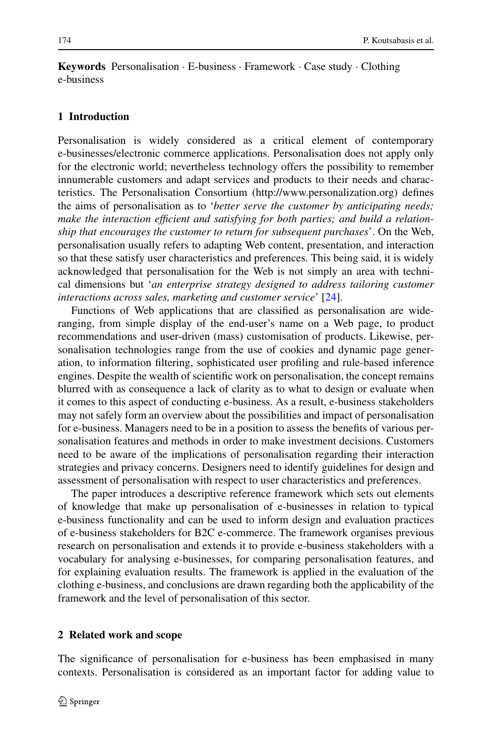**Keywords** Personalisation · E-business · Framework · Case study · Clothing e-business

## **1 Introduction**

Personalisation is widely considered as a critical element of contemporary e-businesses/electronic commerce applications. Personalisation does not apply only for the electronic world; nevertheless technology offers the possibility to remember innumerable customers and adapt services and products to their needs and characteristics. The Personalisation Consortium (http://www.personalization.org) defines the aims of personalisation as to '*better serve the customer by anticipating needs; make the interaction efficient and satisfying for both parties; and build a relationship that encourages the customer to return for subsequent purchases*'. On the Web, personalisation usually refers to adapting Web content, presentation, and interaction so that these satisfy user characteristics and preferences. This being said, it is widely acknowledged that personalisation for the Web is not simply an area with technical dimensions but '*an enterprise strategy designed to address tailoring customer interactions across sales, marketing and customer service*' [\[24](#page-18-0)].

Functions of Web applications that are classified as personalisation are wideranging, from simple display of the end-user's name on a Web page, to product recommendations and user-driven (mass) customisation of products. Likewise, personalisation technologies range from the use of cookies and dynamic page generation, to information filtering, sophisticated user profiling and rule-based inference engines. Despite the wealth of scientific work on personalisation, the concept remains blurred with as consequence a lack of clarity as to what to design or evaluate when it comes to this aspect of conducting e-business. As a result, e-business stakeholders may not safely form an overview about the possibilities and impact of personalisation for e-business. Managers need to be in a position to assess the benefits of various personalisation features and methods in order to make investment decisions. Customers need to be aware of the implications of personalisation regarding their interaction strategies and privacy concerns. Designers need to identify guidelines for design and assessment of personalisation with respect to user characteristics and preferences.

The paper introduces a descriptive reference framework which sets out elements of knowledge that make up personalisation of e-businesses in relation to typical e-business functionality and can be used to inform design and evaluation practices of e-business stakeholders for B2C e-commerce. The framework organises previous research on personalisation and extends it to provide e-business stakeholders with a vocabulary for analysing e-businesses, for comparing personalisation features, and for explaining evaluation results. The framework is applied in the evaluation of the clothing e-business, and conclusions are drawn regarding both the applicability of the framework and the level of personalisation of this sector.

### **2 Related work and scope**

The significance of personalisation for e-business has been emphasised in many contexts. Personalisation is considered as an important factor for adding value to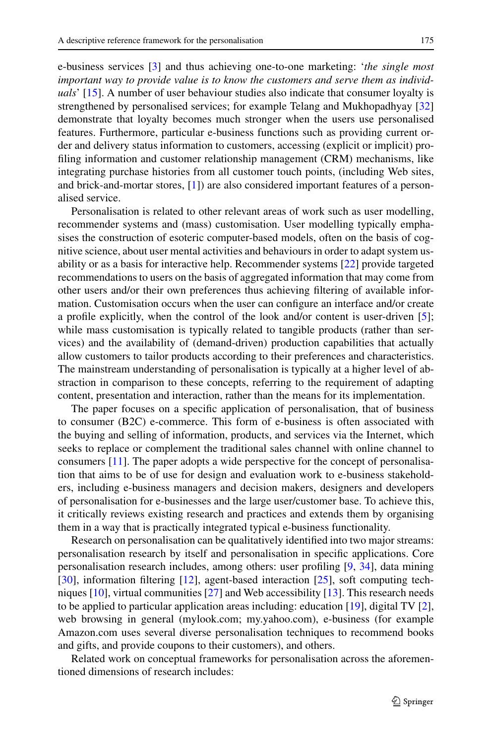e-business services [\[3](#page-17-0)] and thus achieving one-to-one marketing: '*the single most important way to provide value is to know the customers and serve them as individuals*' [[15](#page-17-0)]. A number of user behaviour studies also indicate that consumer loyalty is strengthened by personalised services; for example Telang and Mukhopadhyay [\[32](#page-18-0)] demonstrate that loyalty becomes much stronger when the users use personalised features. Furthermore, particular e-business functions such as providing current order and delivery status information to customers, accessing (explicit or implicit) profiling information and customer relationship management (CRM) mechanisms, like integrating purchase histories from all customer touch points, (including Web sites, and brick-and-mortar stores, [\[1](#page-17-0)]) are also considered important features of a personalised service.

Personalisation is related to other relevant areas of work such as user modelling, recommender systems and (mass) customisation. User modelling typically emphasises the construction of esoteric computer-based models, often on the basis of cognitive science, about user mental activities and behaviours in order to adapt system usability or as a basis for interactive help. Recommender systems [\[22](#page-18-0)] provide targeted recommendations to users on the basis of aggregated information that may come from other users and/or their own preferences thus achieving filtering of available information. Customisation occurs when the user can configure an interface and/or create a profile explicitly, when the control of the look and/or content is user-driven [\[5](#page-17-0)]; while mass customisation is typically related to tangible products (rather than services) and the availability of (demand-driven) production capabilities that actually allow customers to tailor products according to their preferences and characteristics. The mainstream understanding of personalisation is typically at a higher level of abstraction in comparison to these concepts, referring to the requirement of adapting content, presentation and interaction, rather than the means for its implementation.

The paper focuses on a specific application of personalisation, that of business to consumer (B2C) e-commerce. This form of e-business is often associated with the buying and selling of information, products, and services via the Internet, which seeks to replace or complement the traditional sales channel with online channel to consumers [\[11](#page-17-0)]. The paper adopts a wide perspective for the concept of personalisation that aims to be of use for design and evaluation work to e-business stakeholders, including e-business managers and decision makers, designers and developers of personalisation for e-businesses and the large user/customer base. To achieve this, it critically reviews existing research and practices and extends them by organising them in a way that is practically integrated typical e-business functionality.

Research on personalisation can be qualitatively identified into two major streams: personalisation research by itself and personalisation in specific applications. Core personalisation research includes, among others: user profiling [\[9](#page-17-0), [34\]](#page-18-0), data mining [\[30](#page-18-0)], information filtering [[12\]](#page-17-0), agent-based interaction [\[25](#page-18-0)], soft computing techniques [\[10](#page-17-0)], virtual communities [\[27](#page-18-0)] and Web accessibility [[13\]](#page-17-0). This research needs to be applied to particular application areas including: education [[19\]](#page-18-0), digital TV [[2\]](#page-17-0), web browsing in general (mylook.com; my.yahoo.com), e-business (for example Amazon.com uses several diverse personalisation techniques to recommend books and gifts, and provide coupons to their customers), and others.

Related work on conceptual frameworks for personalisation across the aforementioned dimensions of research includes: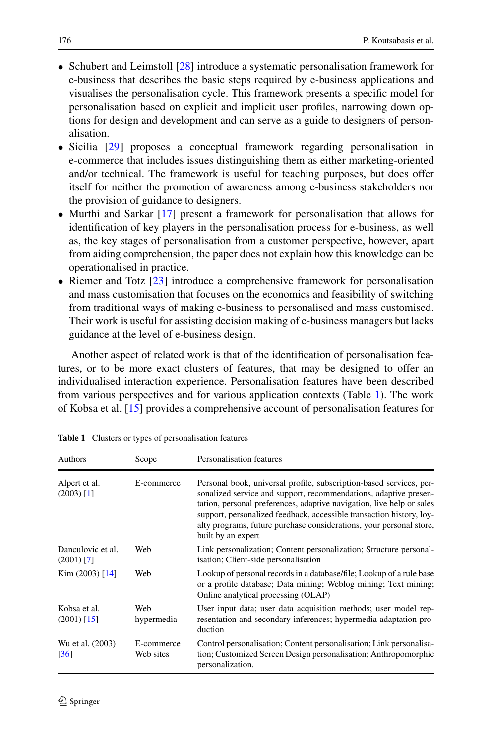- Schubert and Leimstoll [[28\]](#page-18-0) introduce a systematic personalisation framework for e-business that describes the basic steps required by e-business applications and visualises the personalisation cycle. This framework presents a specific model for personalisation based on explicit and implicit user profiles, narrowing down options for design and development and can serve as a guide to designers of personalisation.
- Sicilia [\[29](#page-18-0)] proposes a conceptual framework regarding personalisation in e-commerce that includes issues distinguishing them as either marketing-oriented and/or technical. The framework is useful for teaching purposes, but does offer itself for neither the promotion of awareness among e-business stakeholders nor the provision of guidance to designers.
- Murthi and Sarkar [\[17](#page-18-0)] present a framework for personalisation that allows for identification of key players in the personalisation process for e-business, as well as, the key stages of personalisation from a customer perspective, however, apart from aiding comprehension, the paper does not explain how this knowledge can be operationalised in practice.
- Riemer and Totz [[23\]](#page-18-0) introduce a comprehensive framework for personalisation and mass customisation that focuses on the economics and feasibility of switching from traditional ways of making e-business to personalised and mass customised. Their work is useful for assisting decision making of e-business managers but lacks guidance at the level of e-business design.

Another aspect of related work is that of the identification of personalisation features, or to be more exact clusters of features, that may be designed to offer an individualised interaction experience. Personalisation features have been described from various perspectives and for various application contexts (Table 1). The work of Kobsa et al. [[15\]](#page-17-0) provides a comprehensive account of personalisation features for

| Authors                           | Scope                   | Personalisation features                                                                                                                                                                                                                                                                                                                                                              |
|-----------------------------------|-------------------------|---------------------------------------------------------------------------------------------------------------------------------------------------------------------------------------------------------------------------------------------------------------------------------------------------------------------------------------------------------------------------------------|
| Alpert et al.<br>$(2003)$ [1]     | E-commerce              | Personal book, universal profile, subscription-based services, per-<br>sonalized service and support, recommendations, adaptive presen-<br>tation, personal preferences, adaptive navigation, live help or sales<br>support, personalized feedback, accessible transaction history, loy-<br>alty programs, future purchase considerations, your personal store,<br>built by an expert |
| Danculovic et al.<br>$(2001)$ [7] | Web                     | Link personalization; Content personalization; Structure personal-<br>isation; Client-side personalisation                                                                                                                                                                                                                                                                            |
| Kim $(2003)$ [14]                 | Web                     | Lookup of personal records in a database/file; Lookup of a rule base<br>or a profile database; Data mining; Weblog mining; Text mining;<br>Online analytical processing (OLAP)                                                                                                                                                                                                        |
| Kobsa et al.<br>$(2001)$ [15]     | Web<br>hypermedia       | User input data; user data acquisition methods; user model rep-<br>resentation and secondary inferences; hypermedia adaptation pro-<br>duction                                                                                                                                                                                                                                        |
| Wu et al. (2003)<br>[36]          | E-commerce<br>Web sites | Control personalisation; Content personalisation; Link personalisa-<br>tion; Customized Screen Design personalisation; Anthropomorphic<br>personalization.                                                                                                                                                                                                                            |

**Table 1** Clusters or types of personalisation features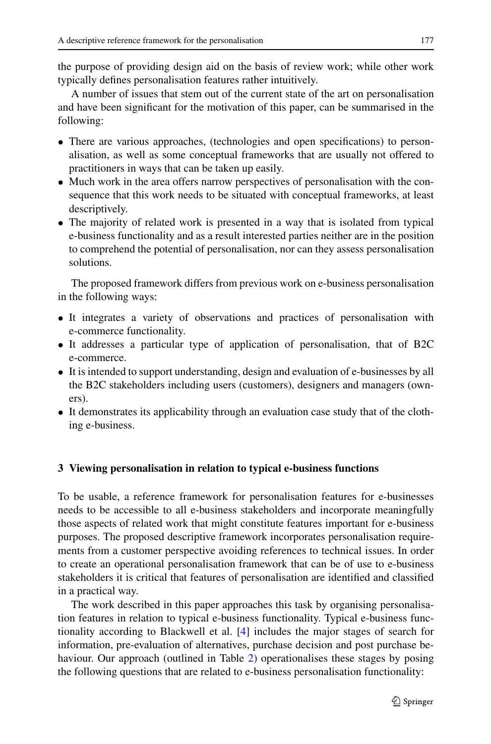the purpose of providing design aid on the basis of review work; while other work typically defines personalisation features rather intuitively.

A number of issues that stem out of the current state of the art on personalisation and have been significant for the motivation of this paper, can be summarised in the following:

- There are various approaches, (technologies and open specifications) to personalisation, as well as some conceptual frameworks that are usually not offered to practitioners in ways that can be taken up easily.
- Much work in the area offers narrow perspectives of personalisation with the consequence that this work needs to be situated with conceptual frameworks, at least descriptively.
- The majority of related work is presented in a way that is isolated from typical e-business functionality and as a result interested parties neither are in the position to comprehend the potential of personalisation, nor can they assess personalisation solutions.

The proposed framework differs from previous work on e-business personalisation in the following ways:

- It integrates a variety of observations and practices of personalisation with e-commerce functionality.
- It addresses a particular type of application of personalisation, that of B2C e-commerce.
- It is intended to support understanding, design and evaluation of e-businesses by all the B2C stakeholders including users (customers), designers and managers (owners).
- It demonstrates its applicability through an evaluation case study that of the clothing e-business.

# **3 Viewing personalisation in relation to typical e-business functions**

To be usable, a reference framework for personalisation features for e-businesses needs to be accessible to all e-business stakeholders and incorporate meaningfully those aspects of related work that might constitute features important for e-business purposes. The proposed descriptive framework incorporates personalisation requirements from a customer perspective avoiding references to technical issues. In order to create an operational personalisation framework that can be of use to e-business stakeholders it is critical that features of personalisation are identified and classified in a practical way.

The work described in this paper approaches this task by organising personalisation features in relation to typical e-business functionality. Typical e-business functionality according to Blackwell et al. [\[4](#page-17-0)] includes the major stages of search for information, pre-evaluation of alternatives, purchase decision and post purchase behaviour. Our approach (outlined in Table [2](#page-5-0)) operationalises these stages by posing the following questions that are related to e-business personalisation functionality: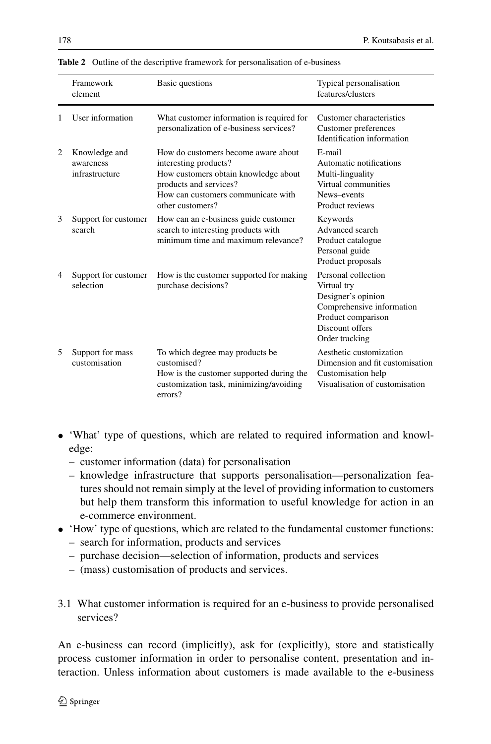|   | Framework<br>element                         | Basic questions                                                                                                                                                                          | Typical personalisation<br>features/clusters                                                                                                     |
|---|----------------------------------------------|------------------------------------------------------------------------------------------------------------------------------------------------------------------------------------------|--------------------------------------------------------------------------------------------------------------------------------------------------|
| 1 | User information                             | What customer information is required for<br>personalization of e-business services?                                                                                                     | Customer characteristics<br>Customer preferences<br>Identification information                                                                   |
| 2 | Knowledge and<br>awareness<br>infrastructure | How do customers become aware about<br>interesting products?<br>How customers obtain knowledge about<br>products and services?<br>How can customers communicate with<br>other customers? | E-mail<br>Automatic notifications<br>Multi-linguality<br>Virtual communities<br>News-events<br>Product reviews                                   |
| 3 | Support for customer<br>search               | How can an e-business guide customer<br>search to interesting products with<br>minimum time and maximum relevance?                                                                       | Keywords<br>Advanced search<br>Product catalogue<br>Personal guide<br>Product proposals                                                          |
| 4 | Support for customer<br>selection            | How is the customer supported for making<br>purchase decisions?                                                                                                                          | Personal collection<br>Virtual try<br>Designer's opinion<br>Comprehensive information<br>Product comparison<br>Discount offers<br>Order tracking |
| 5 | Support for mass<br>customisation            | To which degree may products be.<br>customised?<br>How is the customer supported during the<br>customization task, minimizing/avoiding<br>errors?                                        | Aesthetic customization<br>Dimension and fit customisation<br>Customisation help<br>Visualisation of customisation                               |

<span id="page-5-0"></span>**Table 2** Outline of the descriptive framework for personalisation of e-business

- 'What' type of questions, which are related to required information and knowledge:
	- customer information (data) for personalisation
	- knowledge infrastructure that supports personalisation—personalization features should not remain simply at the level of providing information to customers but help them transform this information to useful knowledge for action in an e-commerce environment.
- 'How' type of questions, which are related to the fundamental customer functions: – search for information, products and services
	- purchase decision—selection of information, products and services
	- (mass) customisation of products and services.
- 3.1 What customer information is required for an e-business to provide personalised services?

An e-business can record (implicitly), ask for (explicitly), store and statistically process customer information in order to personalise content, presentation and interaction. Unless information about customers is made available to the e-business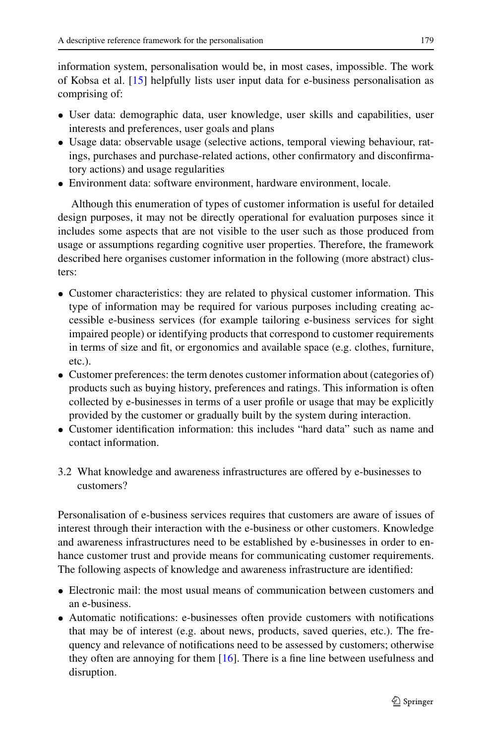information system, personalisation would be, in most cases, impossible. The work of Kobsa et al. [[15](#page-17-0)] helpfully lists user input data for e-business personalisation as comprising of:

- User data: demographic data, user knowledge, user skills and capabilities, user interests and preferences, user goals and plans
- Usage data: observable usage (selective actions, temporal viewing behaviour, ratings, purchases and purchase-related actions, other confirmatory and disconfirmatory actions) and usage regularities
- Environment data: software environment, hardware environment, locale.

Although this enumeration of types of customer information is useful for detailed design purposes, it may not be directly operational for evaluation purposes since it includes some aspects that are not visible to the user such as those produced from usage or assumptions regarding cognitive user properties. Therefore, the framework described here organises customer information in the following (more abstract) clusters:

- Customer characteristics: they are related to physical customer information. This type of information may be required for various purposes including creating accessible e-business services (for example tailoring e-business services for sight impaired people) or identifying products that correspond to customer requirements in terms of size and fit, or ergonomics and available space (e.g. clothes, furniture, etc.).
- Customer preferences: the term denotes customer information about (categories of) products such as buying history, preferences and ratings. This information is often collected by e-businesses in terms of a user profile or usage that may be explicitly provided by the customer or gradually built by the system during interaction.
- Customer identification information: this includes "hard data" such as name and contact information.
- 3.2 What knowledge and awareness infrastructures are offered by e-businesses to customers?

Personalisation of e-business services requires that customers are aware of issues of interest through their interaction with the e-business or other customers. Knowledge and awareness infrastructures need to be established by e-businesses in order to enhance customer trust and provide means for communicating customer requirements. The following aspects of knowledge and awareness infrastructure are identified:

- Electronic mail: the most usual means of communication between customers and an e-business.
- Automatic notifications: e-businesses often provide customers with notifications that may be of interest (e.g. about news, products, saved queries, etc.). The frequency and relevance of notifications need to be assessed by customers; otherwise they often are annoying for them [[16\]](#page-18-0). There is a fine line between usefulness and disruption.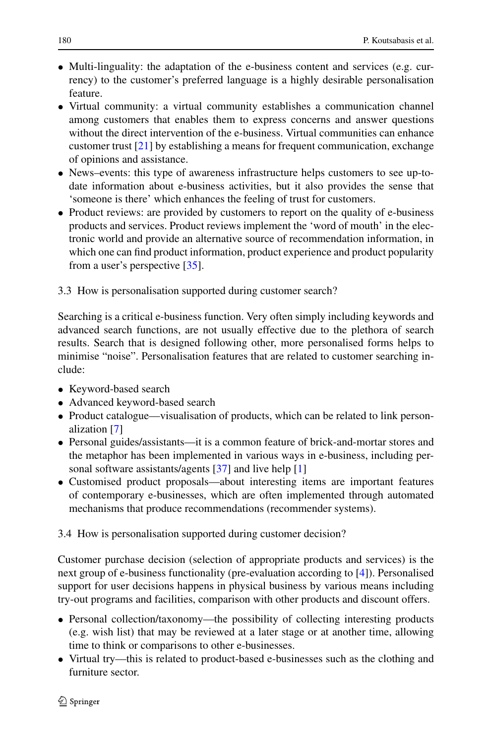- Multi-linguality: the adaptation of the e-business content and services (e.g. currency) to the customer's preferred language is a highly desirable personalisation feature.
- Virtual community: a virtual community establishes a communication channel among customers that enables them to express concerns and answer questions without the direct intervention of the e-business. Virtual communities can enhance customer trust [[21\]](#page-18-0) by establishing a means for frequent communication, exchange of opinions and assistance.
- News–events: this type of awareness infrastructure helps customers to see up-todate information about e-business activities, but it also provides the sense that 'someone is there' which enhances the feeling of trust for customers.
- Product reviews: are provided by customers to report on the quality of e-business products and services. Product reviews implement the 'word of mouth' in the electronic world and provide an alternative source of recommendation information, in which one can find product information, product experience and product popularity from a user's perspective [\[35](#page-18-0)].
- 3.3 How is personalisation supported during customer search?

Searching is a critical e-business function. Very often simply including keywords and advanced search functions, are not usually effective due to the plethora of search results. Search that is designed following other, more personalised forms helps to minimise "noise". Personalisation features that are related to customer searching include:

- Keyword-based search
- Advanced keyword-based search
- Product catalogue—visualisation of products, which can be related to link personalization [[7\]](#page-17-0)
- Personal guides/assistants—it is a common feature of brick-and-mortar stores and the metaphor has been implemented in various ways in e-business, including personal software assistants/agents [[37\]](#page-18-0) and live help [\[1](#page-17-0)]
- Customised product proposals—about interesting items are important features of contemporary e-businesses, which are often implemented through automated mechanisms that produce recommendations (recommender systems).

# 3.4 How is personalisation supported during customer decision?

Customer purchase decision (selection of appropriate products and services) is the next group of e-business functionality (pre-evaluation according to [[4\]](#page-17-0)). Personalised support for user decisions happens in physical business by various means including try-out programs and facilities, comparison with other products and discount offers.

- Personal collection/taxonomy—the possibility of collecting interesting products (e.g. wish list) that may be reviewed at a later stage or at another time, allowing time to think or comparisons to other e-businesses.
- Virtual try—this is related to product-based e-businesses such as the clothing and furniture sector.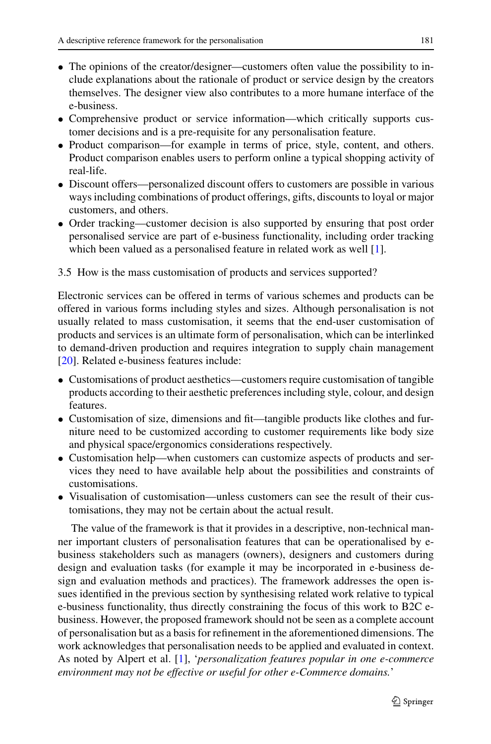- The opinions of the creator/designer—customers often value the possibility to include explanations about the rationale of product or service design by the creators themselves. The designer view also contributes to a more humane interface of the e-business.
- Comprehensive product or service information—which critically supports customer decisions and is a pre-requisite for any personalisation feature.
- Product comparison—for example in terms of price, style, content, and others. Product comparison enables users to perform online a typical shopping activity of real-life.
- Discount offers—personalized discount offers to customers are possible in various ways including combinations of product offerings, gifts, discounts to loyal or major customers, and others.
- Order tracking—customer decision is also supported by ensuring that post order personalised service are part of e-business functionality, including order tracking which been valued as a personalised feature in related work as well [\[1](#page-17-0)].
- 3.5 How is the mass customisation of products and services supported?

Electronic services can be offered in terms of various schemes and products can be offered in various forms including styles and sizes. Although personalisation is not usually related to mass customisation, it seems that the end-user customisation of products and services is an ultimate form of personalisation, which can be interlinked to demand-driven production and requires integration to supply chain management [\[20](#page-18-0)]. Related e-business features include:

- Customisations of product aesthetics—customers require customisation of tangible products according to their aesthetic preferences including style, colour, and design features.
- Customisation of size, dimensions and fit—tangible products like clothes and furniture need to be customized according to customer requirements like body size and physical space/ergonomics considerations respectively.
- Customisation help—when customers can customize aspects of products and services they need to have available help about the possibilities and constraints of customisations.
- Visualisation of customisation—unless customers can see the result of their customisations, they may not be certain about the actual result.

The value of the framework is that it provides in a descriptive, non-technical manner important clusters of personalisation features that can be operationalised by ebusiness stakeholders such as managers (owners), designers and customers during design and evaluation tasks (for example it may be incorporated in e-business design and evaluation methods and practices). The framework addresses the open issues identified in the previous section by synthesising related work relative to typical e-business functionality, thus directly constraining the focus of this work to B2C ebusiness. However, the proposed framework should not be seen as a complete account of personalisation but as a basis for refinement in the aforementioned dimensions. The work acknowledges that personalisation needs to be applied and evaluated in context. As noted by Alpert et al. [[1\]](#page-17-0), '*personalization features popular in one e-commerce environment may not be effective or useful for other e-Commerce domains.*'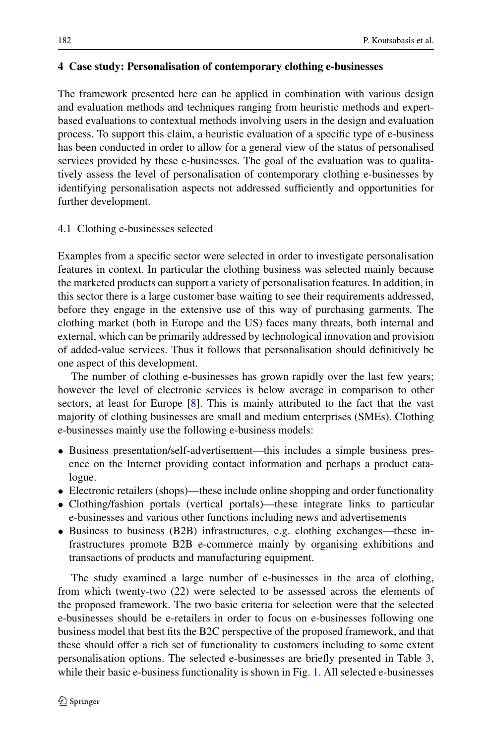# **4 Case study: Personalisation of contemporary clothing e-businesses**

The framework presented here can be applied in combination with various design and evaluation methods and techniques ranging from heuristic methods and expertbased evaluations to contextual methods involving users in the design and evaluation process. To support this claim, a heuristic evaluation of a specific type of e-business has been conducted in order to allow for a general view of the status of personalised services provided by these e-businesses. The goal of the evaluation was to qualitatively assess the level of personalisation of contemporary clothing e-businesses by identifying personalisation aspects not addressed sufficiently and opportunities for further development.

# 4.1 Clothing e-businesses selected

Examples from a specific sector were selected in order to investigate personalisation features in context. In particular the clothing business was selected mainly because the marketed products can support a variety of personalisation features. In addition, in this sector there is a large customer base waiting to see their requirements addressed, before they engage in the extensive use of this way of purchasing garments. The clothing market (both in Europe and the US) faces many threats, both internal and external, which can be primarily addressed by technological innovation and provision of added-value services. Thus it follows that personalisation should definitively be one aspect of this development.

The number of clothing e-businesses has grown rapidly over the last few years; however the level of electronic services is below average in comparison to other sectors, at least for Europe [[8\]](#page-17-0). This is mainly attributed to the fact that the vast majority of clothing businesses are small and medium enterprises (SMEs). Clothing e-businesses mainly use the following e-business models:

- Business presentation/self-advertisement—this includes a simple business presence on the Internet providing contact information and perhaps a product catalogue.
- Electronic retailers (shops)—these include online shopping and order functionality
- Clothing/fashion portals (vertical portals)—these integrate links to particular e-businesses and various other functions including news and advertisements
- Business to business (B2B) infrastructures, e.g. clothing exchanges—these infrastructures promote B2B e-commerce mainly by organising exhibitions and transactions of products and manufacturing equipment.

The study examined a large number of e-businesses in the area of clothing, from which twenty-two (22) were selected to be assessed across the elements of the proposed framework. The two basic criteria for selection were that the selected e-businesses should be e-retailers in order to focus on e-businesses following one business model that best fits the B2C perspective of the proposed framework, and that these should offer a rich set of functionality to customers including to some extent personalisation options. The selected e-businesses are briefly presented in Table [3](#page-10-0), while their basic e-business functionality is shown in Fig. [1](#page-10-0). All selected e-businesses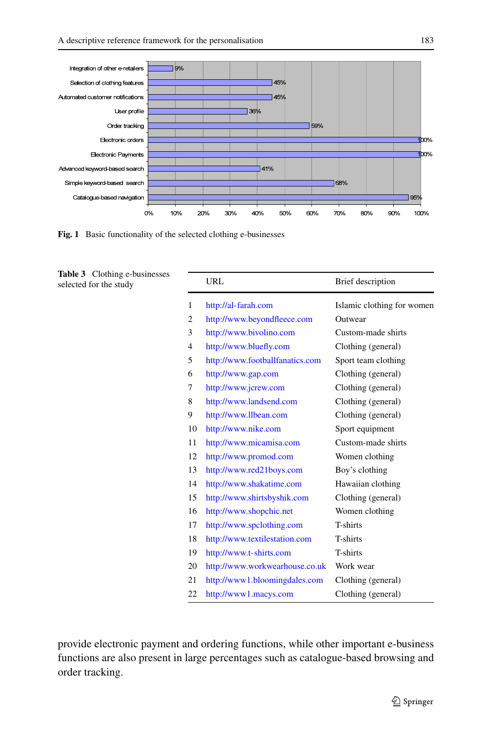<span id="page-10-0"></span>

**Fig. 1** Basic functionality of the selected clothing e-businesses

**Table 3** Clothing e-businesses selected for the study

|    | <b>URL</b>                      | Brief description          |
|----|---------------------------------|----------------------------|
| 1  | http://al-farah.com             | Islamic clothing for women |
| 2  | http://www.beyondfleece.com     | Outwear                    |
| 3  | http://www.bivolino.com         | Custom-made shirts         |
| 4  | http://www.bluefly.com          | Clothing (general)         |
| 5  | http://www.footballfanatics.com | Sport team clothing        |
| 6  | http://www.gap.com              | Clothing (general)         |
| 7  | http://www.jcrew.com            | Clothing (general)         |
| 8  | http://www.landsend.com         | Clothing (general)         |
| 9  | http://www.llbean.com           | Clothing (general)         |
| 10 | http://www.nike.com             | Sport equipment            |
| 11 | http://www.micamisa.com         | Custom-made shirts         |
| 12 | http://www.promod.com           | Women clothing             |
| 13 | http://www.red21boys.com        | Boy's clothing             |
| 14 | http://www.shakatime.com        | Hawaiian clothing          |
| 15 | http://www.shirtsbyshik.com     | Clothing (general)         |
| 16 | http://www.shopchic.net         | Women clothing             |
| 17 | http://www.spclothing.com       | T-shirts                   |
| 18 | http://www.textilestation.com   | T-shirts                   |
| 19 | http://www.t-shirts.com         | T-shirts                   |
| 20 | http://www.workwearhouse.co.uk  | Work wear                  |
| 21 | http://www1.bloomingdales.com   | Clothing (general)         |
| 22 | http://www1.macys.com           | Clothing (general)         |

provide electronic payment and ordering functions, while other important e-business functions are also present in large percentages such as catalogue-based browsing and order tracking.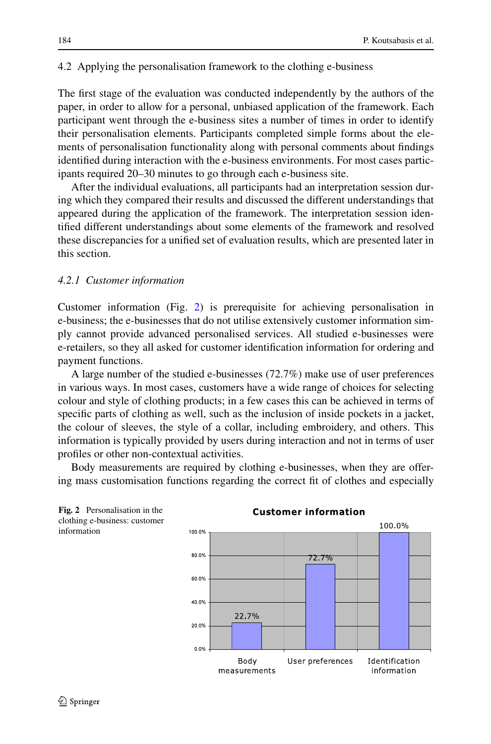#### 4.2 Applying the personalisation framework to the clothing e-business

The first stage of the evaluation was conducted independently by the authors of the paper, in order to allow for a personal, unbiased application of the framework. Each participant went through the e-business sites a number of times in order to identify their personalisation elements. Participants completed simple forms about the elements of personalisation functionality along with personal comments about findings identified during interaction with the e-business environments. For most cases participants required 20–30 minutes to go through each e-business site.

After the individual evaluations, all participants had an interpretation session during which they compared their results and discussed the different understandings that appeared during the application of the framework. The interpretation session identified different understandings about some elements of the framework and resolved these discrepancies for a unified set of evaluation results, which are presented later in this section.

#### *4.2.1 Customer information*

Customer information (Fig. 2) is prerequisite for achieving personalisation in e-business; the e-businesses that do not utilise extensively customer information simply cannot provide advanced personalised services. All studied e-businesses were e-retailers, so they all asked for customer identification information for ordering and payment functions.

A large number of the studied e-businesses (72.7%) make use of user preferences in various ways. In most cases, customers have a wide range of choices for selecting colour and style of clothing products; in a few cases this can be achieved in terms of specific parts of clothing as well, such as the inclusion of inside pockets in a jacket, the colour of sleeves, the style of a collar, including embroidery, and others. This information is typically provided by users during interaction and not in terms of user profiles or other non-contextual activities.

Body measurements are required by clothing e-businesses, when they are offering mass customisation functions regarding the correct fit of clothes and especially

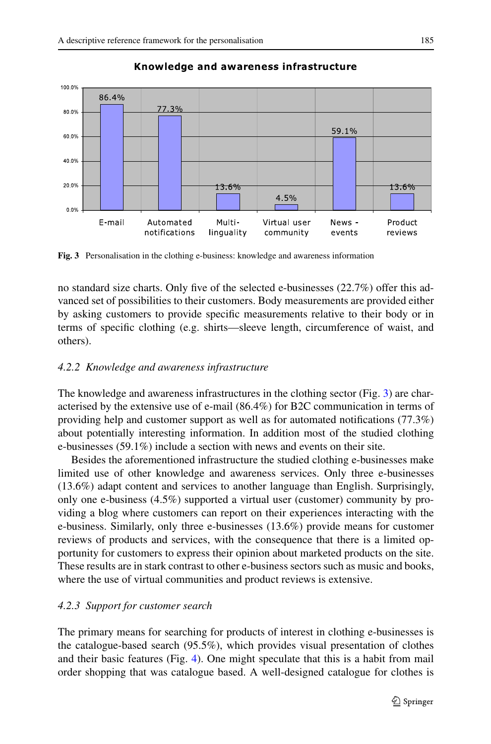

#### Knowledge and awareness infrastructure

**Fig. 3** Personalisation in the clothing e-business: knowledge and awareness information

no standard size charts. Only five of the selected e-businesses (22.7%) offer this advanced set of possibilities to their customers. Body measurements are provided either by asking customers to provide specific measurements relative to their body or in terms of specific clothing (e.g. shirts—sleeve length, circumference of waist, and others).

# *4.2.2 Knowledge and awareness infrastructure*

The knowledge and awareness infrastructures in the clothing sector (Fig. 3) are characterised by the extensive use of e-mail (86.4%) for B2C communication in terms of providing help and customer support as well as for automated notifications (77.3%) about potentially interesting information. In addition most of the studied clothing e-businesses (59.1%) include a section with news and events on their site.

Besides the aforementioned infrastructure the studied clothing e-businesses make limited use of other knowledge and awareness services. Only three e-businesses (13.6%) adapt content and services to another language than English. Surprisingly, only one e-business (4.5%) supported a virtual user (customer) community by providing a blog where customers can report on their experiences interacting with the e-business. Similarly, only three e-businesses (13.6%) provide means for customer reviews of products and services, with the consequence that there is a limited opportunity for customers to express their opinion about marketed products on the site. These results are in stark contrast to other e-business sectors such as music and books, where the use of virtual communities and product reviews is extensive.

#### *4.2.3 Support for customer search*

The primary means for searching for products of interest in clothing e-businesses is the catalogue-based search (95.5%), which provides visual presentation of clothes and their basic features (Fig. [4](#page-13-0)). One might speculate that this is a habit from mail order shopping that was catalogue based. A well-designed catalogue for clothes is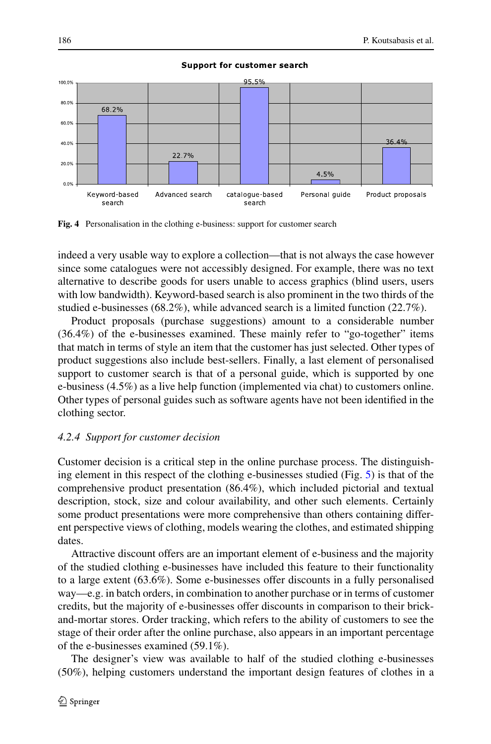

<span id="page-13-0"></span>

**Fig. 4** Personalisation in the clothing e-business: support for customer search

indeed a very usable way to explore a collection—that is not always the case however since some catalogues were not accessibly designed. For example, there was no text alternative to describe goods for users unable to access graphics (blind users, users with low bandwidth). Keyword-based search is also prominent in the two thirds of the studied e-businesses (68.2%), while advanced search is a limited function (22.7%).

Product proposals (purchase suggestions) amount to a considerable number (36.4%) of the e-businesses examined. These mainly refer to "go-together" items that match in terms of style an item that the customer has just selected. Other types of product suggestions also include best-sellers. Finally, a last element of personalised support to customer search is that of a personal guide, which is supported by one e-business (4.5%) as a live help function (implemented via chat) to customers online. Other types of personal guides such as software agents have not been identified in the clothing sector.

## *4.2.4 Support for customer decision*

Customer decision is a critical step in the online purchase process. The distinguishing element in this respect of the clothing e-businesses studied (Fig.  $5$ ) is that of the comprehensive product presentation (86.4%), which included pictorial and textual description, stock, size and colour availability, and other such elements. Certainly some product presentations were more comprehensive than others containing different perspective views of clothing, models wearing the clothes, and estimated shipping dates.

Attractive discount offers are an important element of e-business and the majority of the studied clothing e-businesses have included this feature to their functionality to a large extent (63.6%). Some e-businesses offer discounts in a fully personalised way—e.g. in batch orders, in combination to another purchase or in terms of customer credits, but the majority of e-businesses offer discounts in comparison to their brickand-mortar stores. Order tracking, which refers to the ability of customers to see the stage of their order after the online purchase, also appears in an important percentage of the e-businesses examined (59.1%).

The designer's view was available to half of the studied clothing e-businesses (50%), helping customers understand the important design features of clothes in a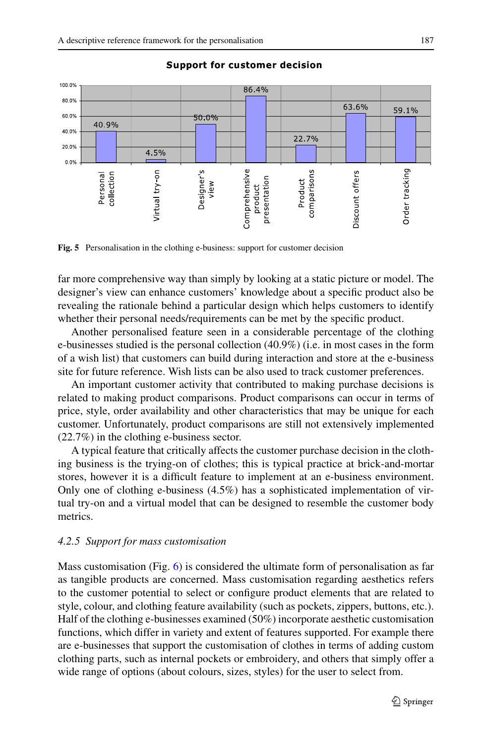<span id="page-14-0"></span>

#### **Support for customer decision**

**Fig. 5** Personalisation in the clothing e-business: support for customer decision

far more comprehensive way than simply by looking at a static picture or model. The designer's view can enhance customers' knowledge about a specific product also be revealing the rationale behind a particular design which helps customers to identify whether their personal needs/requirements can be met by the specific product.

Another personalised feature seen in a considerable percentage of the clothing e-businesses studied is the personal collection (40.9%) (i.e. in most cases in the form of a wish list) that customers can build during interaction and store at the e-business site for future reference. Wish lists can be also used to track customer preferences.

An important customer activity that contributed to making purchase decisions is related to making product comparisons. Product comparisons can occur in terms of price, style, order availability and other characteristics that may be unique for each customer. Unfortunately, product comparisons are still not extensively implemented (22.7%) in the clothing e-business sector.

A typical feature that critically affects the customer purchase decision in the clothing business is the trying-on of clothes; this is typical practice at brick-and-mortar stores, however it is a difficult feature to implement at an e-business environment. Only one of clothing e-business (4.5%) has a sophisticated implementation of virtual try-on and a virtual model that can be designed to resemble the customer body metrics.

### *4.2.5 Support for mass customisation*

Mass customisation (Fig. [6](#page-15-0)) is considered the ultimate form of personalisation as far as tangible products are concerned. Mass customisation regarding aesthetics refers to the customer potential to select or configure product elements that are related to style, colour, and clothing feature availability (such as pockets, zippers, buttons, etc.). Half of the clothing e-businesses examined (50%) incorporate aesthetic customisation functions, which differ in variety and extent of features supported. For example there are e-businesses that support the customisation of clothes in terms of adding custom clothing parts, such as internal pockets or embroidery, and others that simply offer a wide range of options (about colours, sizes, styles) for the user to select from.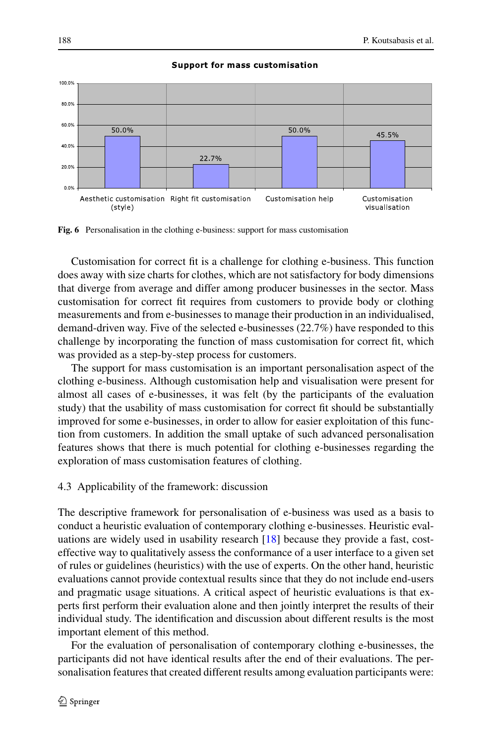<span id="page-15-0"></span>

#### **Support for mass customisation**

**Fig. 6** Personalisation in the clothing e-business: support for mass customisation

Customisation for correct fit is a challenge for clothing e-business. This function does away with size charts for clothes, which are not satisfactory for body dimensions that diverge from average and differ among producer businesses in the sector. Mass customisation for correct fit requires from customers to provide body or clothing measurements and from e-businesses to manage their production in an individualised, demand-driven way. Five of the selected e-businesses (22.7%) have responded to this challenge by incorporating the function of mass customisation for correct fit, which was provided as a step-by-step process for customers.

The support for mass customisation is an important personalisation aspect of the clothing e-business. Although customisation help and visualisation were present for almost all cases of e-businesses, it was felt (by the participants of the evaluation study) that the usability of mass customisation for correct fit should be substantially improved for some e-businesses, in order to allow for easier exploitation of this function from customers. In addition the small uptake of such advanced personalisation features shows that there is much potential for clothing e-businesses regarding the exploration of mass customisation features of clothing.

## 4.3 Applicability of the framework: discussion

The descriptive framework for personalisation of e-business was used as a basis to conduct a heuristic evaluation of contemporary clothing e-businesses. Heuristic evaluations are widely used in usability research [[18\]](#page-18-0) because they provide a fast, costeffective way to qualitatively assess the conformance of a user interface to a given set of rules or guidelines (heuristics) with the use of experts. On the other hand, heuristic evaluations cannot provide contextual results since that they do not include end-users and pragmatic usage situations. A critical aspect of heuristic evaluations is that experts first perform their evaluation alone and then jointly interpret the results of their individual study. The identification and discussion about different results is the most important element of this method.

For the evaluation of personalisation of contemporary clothing e-businesses, the participants did not have identical results after the end of their evaluations. The personalisation features that created different results among evaluation participants were: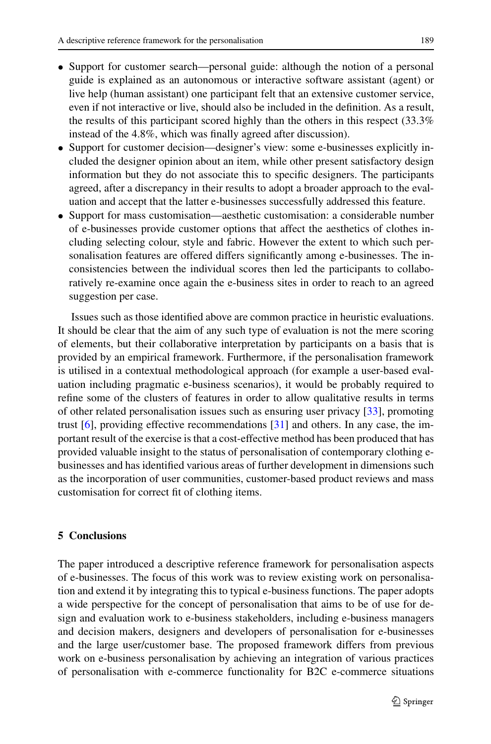- Support for customer search—personal guide: although the notion of a personal guide is explained as an autonomous or interactive software assistant (agent) or live help (human assistant) one participant felt that an extensive customer service, even if not interactive or live, should also be included in the definition. As a result, the results of this participant scored highly than the others in this respect (33.3% instead of the 4.8%, which was finally agreed after discussion).
- Support for customer decision—designer's view: some e-businesses explicitly included the designer opinion about an item, while other present satisfactory design information but they do not associate this to specific designers. The participants agreed, after a discrepancy in their results to adopt a broader approach to the evaluation and accept that the latter e-businesses successfully addressed this feature.
- Support for mass customisation—aesthetic customisation: a considerable number of e-businesses provide customer options that affect the aesthetics of clothes including selecting colour, style and fabric. However the extent to which such personalisation features are offered differs significantly among e-businesses. The inconsistencies between the individual scores then led the participants to collaboratively re-examine once again the e-business sites in order to reach to an agreed suggestion per case.

Issues such as those identified above are common practice in heuristic evaluations. It should be clear that the aim of any such type of evaluation is not the mere scoring of elements, but their collaborative interpretation by participants on a basis that is provided by an empirical framework. Furthermore, if the personalisation framework is utilised in a contextual methodological approach (for example a user-based evaluation including pragmatic e-business scenarios), it would be probably required to refine some of the clusters of features in order to allow qualitative results in terms of other related personalisation issues such as ensuring user privacy [[33\]](#page-18-0), promoting trust [[6\]](#page-17-0), providing effective recommendations [\[31](#page-18-0)] and others. In any case, the important result of the exercise is that a cost-effective method has been produced that has provided valuable insight to the status of personalisation of contemporary clothing ebusinesses and has identified various areas of further development in dimensions such as the incorporation of user communities, customer-based product reviews and mass customisation for correct fit of clothing items.

### **5 Conclusions**

The paper introduced a descriptive reference framework for personalisation aspects of e-businesses. The focus of this work was to review existing work on personalisation and extend it by integrating this to typical e-business functions. The paper adopts a wide perspective for the concept of personalisation that aims to be of use for design and evaluation work to e-business stakeholders, including e-business managers and decision makers, designers and developers of personalisation for e-businesses and the large user/customer base. The proposed framework differs from previous work on e-business personalisation by achieving an integration of various practices of personalisation with e-commerce functionality for B2C e-commerce situations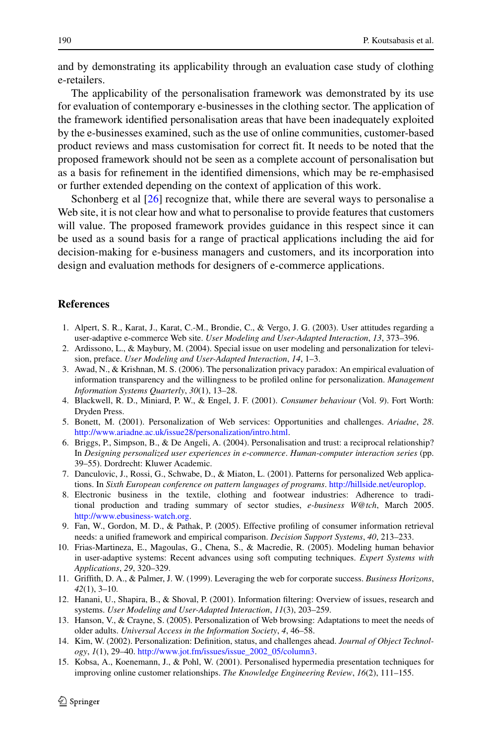<span id="page-17-0"></span>and by demonstrating its applicability through an evaluation case study of clothing e-retailers.

The applicability of the personalisation framework was demonstrated by its use for evaluation of contemporary e-businesses in the clothing sector. The application of the framework identified personalisation areas that have been inadequately exploited by the e-businesses examined, such as the use of online communities, customer-based product reviews and mass customisation for correct fit. It needs to be noted that the proposed framework should not be seen as a complete account of personalisation but as a basis for refinement in the identified dimensions, which may be re-emphasised or further extended depending on the context of application of this work.

Schonberg et al [\[26](#page-18-0)] recognize that, while there are several ways to personalise a Web site, it is not clear how and what to personalise to provide features that customers will value. The proposed framework provides guidance in this respect since it can be used as a sound basis for a range of practical applications including the aid for decision-making for e-business managers and customers, and its incorporation into design and evaluation methods for designers of e-commerce applications.

## **References**

- 1. Alpert, S. R., Karat, J., Karat, C.-M., Brondie, C., & Vergo, J. G. (2003). User attitudes regarding a user-adaptive e-commerce Web site. *User Modeling and User-Adapted Interaction*, *13*, 373–396.
- 2. Ardissono, L., & Maybury, M. (2004). Special issue on user modeling and personalization for television, preface. *User Modeling and User-Adapted Interaction*, *14*, 1–3.
- 3. Awad, N., & Krishnan, M. S. (2006). The personalization privacy paradox: An empirical evaluation of information transparency and the willingness to be profiled online for personalization. *Management Information Systems Quarterly*, *30*(1), 13–28.
- 4. Blackwell, R. D., Miniard, P. W., & Engel, J. F. (2001). *Consumer behaviour* (Vol. *9*). Fort Worth: Dryden Press.
- 5. Bonett, M. (2001). Personalization of Web services: Opportunities and challenges. *Ariadne*, *28*. [http://www.ariadne.ac.uk/issue28/personalization/intro.html.](http://www.ariadne.ac.uk/issue28/personalization/intro.html)
- 6. Briggs, P., Simpson, B., & De Angeli, A. (2004). Personalisation and trust: a reciprocal relationship? In *Designing personalized user experiences in e-commerce*. *Human-computer interaction series* (pp. 39–55). Dordrecht: Kluwer Academic.
- 7. Danculovic, J., Rossi, G., Schwabe, D., & Miaton, L. (2001). Patterns for personalized Web applications. In *Sixth European conference on pattern languages of programs*. [http://hillside.net/europlop.](http://hillside.net/europlop)
- 8. Electronic business in the textile, clothing and footwear industries: Adherence to traditional production and trading summary of sector studies, *e-business W@tch*, March 2005. [http://www.ebusiness-watch.org.](http://www.ebusiness-watch.org)
- 9. Fan, W., Gordon, M. D., & Pathak, P. (2005). Effective profiling of consumer information retrieval needs: a unified framework and empirical comparison. *Decision Support Systems*, *40*, 213–233.
- 10. Frias-Martineza, E., Magoulas, G., Chena, S., & Macredie, R. (2005). Modeling human behavior in user-adaptive systems: Recent advances using soft computing techniques. *Expert Systems with Applications*, *29*, 320–329.
- 11. Griffith, D. A., & Palmer, J. W. (1999). Leveraging the web for corporate success. *Business Horizons*, *42*(1), 3–10.
- 12. Hanani, U., Shapira, B., & Shoval, P. (2001). Information filtering: Overview of issues, research and systems. *User Modeling and User-Adapted Interaction*, *11*(3), 203–259.
- 13. Hanson, V., & Crayne, S. (2005). Personalization of Web browsing: Adaptations to meet the needs of older adults. *Universal Access in the Information Society*, *4*, 46–58.
- 14. Kim, W. (2002). Personalization: Definition, status, and challenges ahead. *Journal of Object Technology*, *1*(1), 29–40. [http://www.jot.fm/issues/issue\\_2002\\_05/column3.](http://www.jot.fm/issues/issue_2002_05/column3)
- 15. Kobsa, A., Koenemann, J., & Pohl, W. (2001). Personalised hypermedia presentation techniques for improving online customer relationships. *The Knowledge Engineering Review*, *16*(2), 111–155.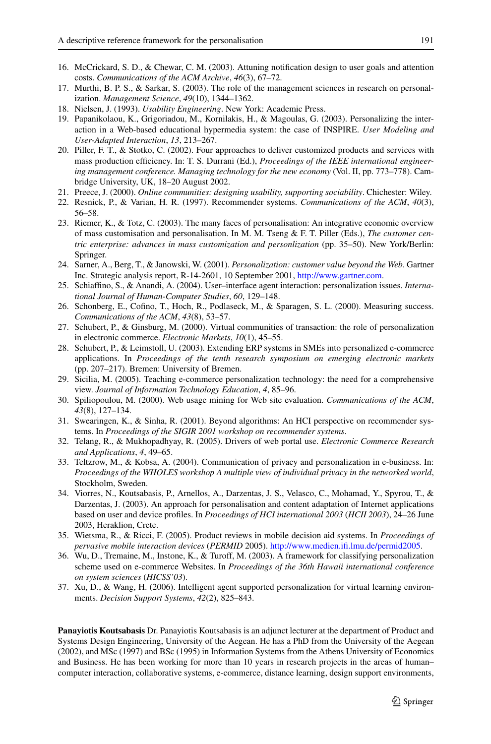- <span id="page-18-0"></span>16. McCrickard, S. D., & Chewar, C. M. (2003). Attuning notification design to user goals and attention costs. *Communications of the ACM Archive*, *46*(3), 67–72.
- 17. Murthi, B. P. S., & Sarkar, S. (2003). The role of the management sciences in research on personalization. *Management Science*, *49*(10), 1344–1362.
- 18. Nielsen, J. (1993). *Usability Engineering*. New York: Academic Press.
- 19. Papanikolaou, K., Grigoriadou, M., Kornilakis, H., & Magoulas, G. (2003). Personalizing the interaction in a Web-based educational hypermedia system: the case of INSPIRE. *User Modeling and User-Adapted Interaction*, *13*, 213–267.
- 20. Piller, F. T., & Stotko, C. (2002). Four approaches to deliver customized products and services with mass production efficiency. In: T. S. Durrani (Ed.), *Proceedings of the IEEE international engineering management conference. Managing technology for the new economy* (Vol. II, pp. 773–778). Cambridge University, UK, 18–20 August 2002.
- 21. Preece, J. (2000). *Online communities: designing usability, supporting sociability*. Chichester: Wiley.
- 22. Resnick, P., & Varian, H. R. (1997). Recommender systems. *Communications of the ACM*, *40*(3), 56–58.
- 23. Riemer, K., & Totz, C. (2003). The many faces of personalisation: An integrative economic overview of mass customisation and personalisation. In M. M. Tseng & F. T. Piller (Eds.), *The customer centric enterprise: advances in mass customization and personlization* (pp. 35–50). New York/Berlin: Springer.
- 24. Sarner, A., Berg, T., & Janowski, W. (2001). *Personalization: customer value beyond the Web*. Gartner Inc. Strategic analysis report, R-14-2601, 10 September 2001, [http://www.gartner.com.](http://www.gartner.com)
- 25. Schiaffino, S., & Anandi, A. (2004). User–interface agent interaction: personalization issues. *International Journal of Human-Computer Studies*, *60*, 129–148.
- 26. Schonberg, E., Cofino, T., Hoch, R., Podlaseck, M., & Sparagen, S. L. (2000). Measuring success. *Communications of the ACM*, *43*(8), 53–57.
- 27. Schubert, P., & Ginsburg, M. (2000). Virtual communities of transaction: the role of personalization in electronic commerce. *Electronic Markets*, *10*(1), 45–55.
- 28. Schubert, P., & Leimstoll, U. (2003). Extending ERP systems in SMEs into personalized e-commerce applications. In *Proceedings of the tenth research symposium on emerging electronic markets* (pp. 207–217). Bremen: University of Bremen.
- 29. Sicilia, M. (2005). Teaching e-commerce personalization technology: the need for a comprehensive view. *Journal of Information Technology Education*, *4*, 85–96.
- 30. Spiliopoulou, M. (2000). Web usage mining for Web site evaluation. *Communications of the ACM*, *43*(8), 127–134.
- 31. Swearingen, K., & Sinha, R. (2001). Beyond algorithms: An HCI perspective on recommender systems. In *Proceedings of the SIGIR 2001 workshop on recommender systems*.
- 32. Telang, R., & Mukhopadhyay, R. (2005). Drivers of web portal use. *Electronic Commerce Research and Applications*, *4*, 49–65.
- 33. Teltzrow, M., & Kobsa, A. (2004). Communication of privacy and personalization in e-business. In: *Proceedings of the WHOLES workshop A multiple view of individual privacy in the networked world*, Stockholm, Sweden.
- 34. Viorres, N., Koutsabasis, P., Arnellos, A., Darzentas, J. S., Velasco, C., Mohamad, Y., Spyrou, T., & Darzentas, J. (2003). An approach for personalisation and content adaptation of Internet applications based on user and device profiles. In *Proceedings of HCI international 2003* (*HCII 2003*), 24–26 June 2003, Heraklion, Crete.
- 35. Wietsma, R., & Ricci, F. (2005). Product reviews in mobile decision aid systems. In *Proceedings of pervasive mobile interaction devices* (*PERMID* 2005). [http://www.medien.ifi.lmu.de/permid2005.](http://www.medien.ifi.lmu.de/permid2005)
- 36. Wu, D., Tremaine, M., Instone, K., & Turoff, M. (2003). A framework for classifying personalization scheme used on e-commerce Websites. In *Proceedings of the 36th Hawaii international conference on system sciences* (*HICSS'03*).
- 37. Xu, D., & Wang, H. (2006). Intelligent agent supported personalization for virtual learning environments. *Decision Support Systems*, *42*(2), 825–843.

**Panayiotis Koutsabasis** Dr. Panayiotis Koutsabasis is an adjunct lecturer at the department of Product and Systems Design Engineering, University of the Aegean. He has a PhD from the University of the Aegean (2002), and MSc (1997) and BSc (1995) in Information Systems from the Athens University of Economics and Business. He has been working for more than 10 years in research projects in the areas of human– computer interaction, collaborative systems, e-commerce, distance learning, design support environments,